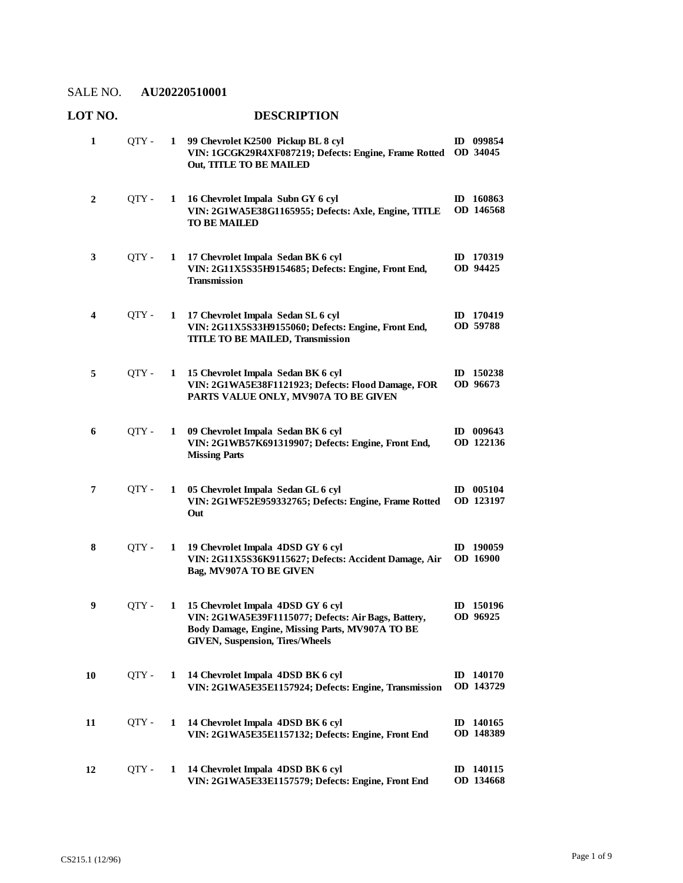## **LOT NO. DESCRIPTION**

| 1  | QTY - | 1 | 99 Chevrolet K2500 Pickup BL 8 cyl<br>VIN: 1GCGK29R4XF087219; Defects: Engine, Frame Rotted<br>Out, TITLE TO BE MAILED                                                                 | ID 099854<br>OD 34045               |
|----|-------|---|----------------------------------------------------------------------------------------------------------------------------------------------------------------------------------------|-------------------------------------|
| 2  | QTY - | 1 | 16 Chevrolet Impala Subn GY 6 cyl<br>VIN: 2G1WA5E38G1165955; Defects: Axle, Engine, TITLE<br><b>TO BE MAILED</b>                                                                       | ID 160863<br>OD 146568              |
| 3  | QTY - | 1 | 17 Chevrolet Impala Sedan BK 6 cyl<br>VIN: 2G11X5S35H9154685; Defects: Engine, Front End,<br><b>Transmission</b>                                                                       | ID 170319<br>OD 94425               |
| 4  | OTY - | 1 | 17 Chevrolet Impala Sedan SL 6 cyl<br>VIN: 2G11X5S33H9155060; Defects: Engine, Front End,<br><b>TITLE TO BE MAILED, Transmission</b>                                                   | ID 170419<br>OD 59788               |
| 5  | QTY - | 1 | 15 Chevrolet Impala Sedan BK 6 cyl<br>VIN: 2G1WA5E38F1121923; Defects: Flood Damage, FOR<br>PARTS VALUE ONLY, MV907A TO BE GIVEN                                                       | ID 150238<br>OD 96673               |
| 6  | OTY - | 1 | 09 Chevrolet Impala Sedan BK 6 cyl<br>VIN: 2G1WB57K691319907; Defects: Engine, Front End,<br><b>Missing Parts</b>                                                                      | ID 009643<br>OD 122136              |
| 7  | OTY - | 1 | 05 Chevrolet Impala Sedan GL 6 cyl<br>VIN: 2G1WF52E959332765; Defects: Engine, Frame Rotted<br>Out                                                                                     | $ID$ 005104<br>OD 123197            |
| 8  | QTY - | 1 | 19 Chevrolet Impala 4DSD GY 6 cyl<br>VIN: 2G11X5S36K9115627; Defects: Accident Damage, Air<br>Bag, MV907A TO BE GIVEN                                                                  | 190059<br>ID<br>OD 16900            |
| 9  | OTY - | 1 | 15 Chevrolet Impala 4DSD GY 6 cyl<br>VIN: 2G1WA5E39F1115077; Defects: Air Bags, Battery,<br>Body Damage, Engine, Missing Parts, MV907A TO BE<br><b>GIVEN, Suspension, Tires/Wheels</b> | ID 150196<br>OD 96925               |
| 10 | OTY - | 1 | 14 Chevrolet Impala 4DSD BK 6 cyl<br>VIN: 2G1WA5E35E1157924; Defects: Engine, Transmission                                                                                             | ID 140170<br>OD 143729              |
| 11 | QTY - | 1 | 14 Chevrolet Impala 4DSD BK 6 cyl<br>VIN: 2G1WA5E35E1157132; Defects: Engine, Front End                                                                                                | ID 140165<br>OD 148389              |
| 12 | QTY - | 1 | 14 Chevrolet Impala 4DSD BK 6 cyl<br>VIN: 2G1WA5E33E1157579; Defects: Engine, Front End                                                                                                | 140115<br>$\mathbf{D}$<br>OD 134668 |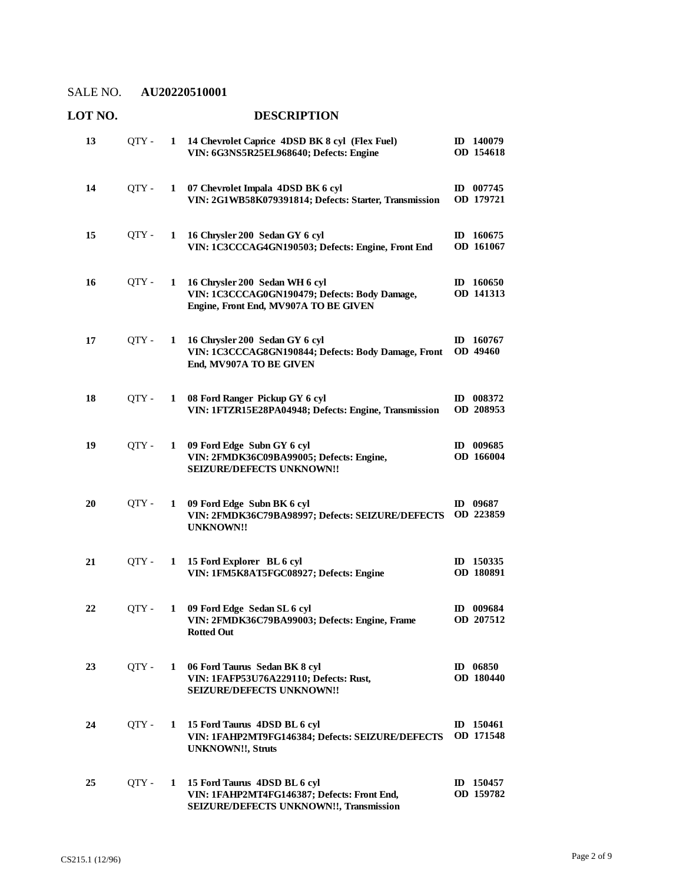**LOT NO. DESCRIPTION**

#### **14 Chevrolet Caprice 4DSD BK 8 cyl (Flex Fuel)**  QTY - **1 ID 140079 VIN: 6G3NS5R25EL968640; Defects: Engine OD 154618 13 07 Chevrolet Impala 4DSD BK 6 cyl**  QTY - **1 ID 007745 VIN: 2G1WB58K079391814; Defects: Starter, Transmission OD 179721 14 16 Chrysler 200 Sedan GY 6 cyl**  QTY - **1 ID 160675 VIN: 1C3CCCAG4GN190503; Defects: Engine, Front End OD 161067 15 16 Chrysler 200 Sedan WH 6 cyl**  QTY - **1 ID 160650 VIN: 1C3CCCAG0GN190479; Defects: Body Damage, Engine, Front End, MV907A TO BE GIVEN OD 141313 16 16 Chrysler 200 Sedan GY 6 cyl**  QTY - **1 ID 160767 VIN: 1C3CCCAG8GN190844; Defects: Body Damage, Front End, MV907A TO BE GIVEN OD 49460 17 08 Ford Ranger Pickup GY 6 cyl**  QTY - **1 ID 008372 VIN: 1FTZR15E28PA04948; Defects: Engine, Transmission OD 208953 18 09 Ford Edge Subn GY 6 cyl**  QTY - **1 ID 009685 VIN: 2FMDK36C09BA99005; Defects: Engine, SEIZURE/DEFECTS UNKNOWN!! OD 166004 19 09 Ford Edge Subn BK 6 cyl**  QTY - **1 ID 09687 VIN: 2FMDK36C79BA98997; Defects: SEIZURE/DEFECTS OD 223859 UNKNOWN!! 20 15 Ford Explorer BL 6 cyl**  QTY - **1 ID 150335 VIN: 1FM5K8AT5FGC08927; Defects: Engine OD 180891 21 09 Ford Edge Sedan SL 6 cyl**  QTY - **1 ID 009684 VIN: 2FMDK36C79BA99003; Defects: Engine, Frame Rotted Out OD 207512 22 06 Ford Taurus Sedan BK 8 cyl**  QTY - **1 ID 06850 VIN: 1FAFP53U76A229110; Defects: Rust, SEIZURE/DEFECTS UNKNOWN!! OD 180440 23 15 Ford Taurus 4DSD BL 6 cyl**  QTY - **1 ID 150461 VIN: 1FAHP2MT9FG146384; Defects: SEIZURE/DEFECTS OD 171548 UNKNOWN!!, Struts 24 15 Ford Taurus 4DSD BL 6 cyl**  QTY - **1 ID 150457 VIN: 1FAHP2MT4FG146387; Defects: Front End, SEIZURE/DEFECTS UNKNOWN!!, Transmission OD 159782 25**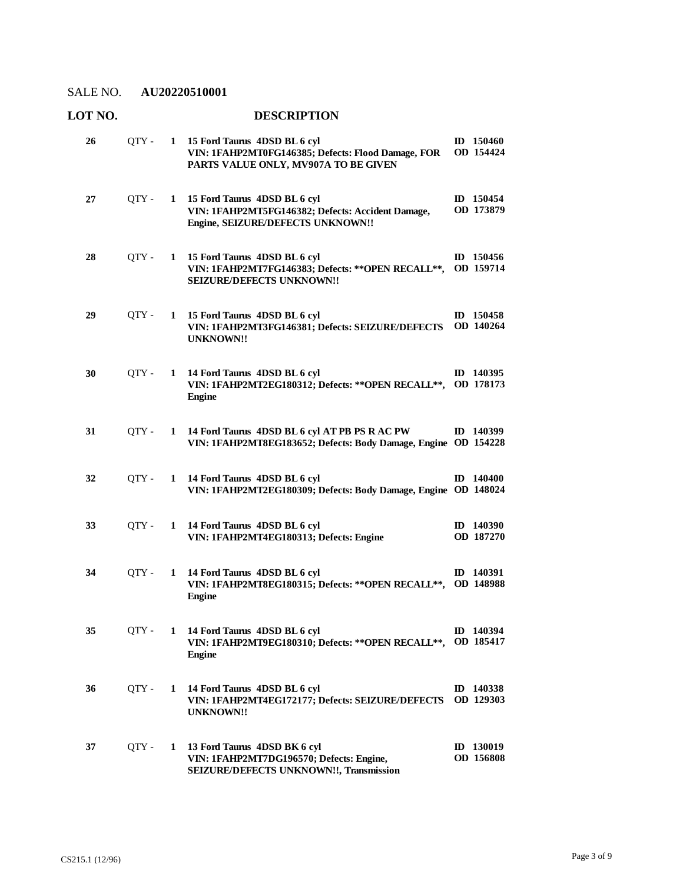## **LOT NO. DESCRIPTION**

| 26 | QTY - |              | 1 15 Ford Taurus 4DSD BL 6 cyl<br>VIN: 1FAHP2MT0FG146385; Defects: Flood Damage, FOR<br>PARTS VALUE ONLY, MV907A TO BE GIVEN | ID 150460<br>OD 154424        |
|----|-------|--------------|------------------------------------------------------------------------------------------------------------------------------|-------------------------------|
| 27 | QTY - | $\mathbf{1}$ | 15 Ford Taurus 4DSD BL 6 cyl<br>VIN: 1FAHP2MT5FG146382; Defects: Accident Damage,<br>Engine, SEIZURE/DEFECTS UNKNOWN!!       | ID 150454<br>OD 173879        |
| 28 | QTY - | 1            | 15 Ford Taurus 4DSD BL 6 cyl<br>VIN: 1FAHP2MT7FG146383; Defects: ** OPEN RECALL **,<br>SEIZURE/DEFECTS UNKNOWN!!             | ID $150456$<br>OD 159714      |
| 29 | QTY - | $\mathbf{1}$ | 15 Ford Taurus 4DSD BL 6 cyl<br>VIN: 1FAHP2MT3FG146381; Defects: SEIZURE/DEFECTS<br><b>UNKNOWN!!</b>                         | ID 150458<br>OD 140264        |
| 30 | OTY - |              | 1 14 Ford Taurus 4DSD BL 6 cyl<br>VIN: 1FAHP2MT2EG180312; Defects: ** OPEN RECALL**, OD 178173<br><b>Engine</b>              | ID 140395                     |
| 31 | QTY - | 1            | 14 Ford Taurus 4DSD BL 6 cyl AT PB PS R AC PW<br>VIN: 1FAHP2MT8EG183652; Defects: Body Damage, Engine OD 154228              | ID 140399                     |
| 32 | QTY - |              | 1 14 Ford Taurus 4DSD BL 6 cyl<br>VIN: 1FAHP2MT2EG180309; Defects: Body Damage, Engine OD 148024                             | $ID$ 140400                   |
| 33 | OTY - | 1            | 14 Ford Taurus 4DSD BL 6 cyl<br>VIN: 1FAHP2MT4EG180313; Defects: Engine                                                      | $ID$ 140390<br>OD 187270      |
| 34 | OTY - |              | 1 14 Ford Taurus 4DSD BL 6 cyl<br>VIN: 1FAHP2MT8EG180315; Defects: ** OPEN RECALL **,<br><b>Engine</b>                       | ID 140391<br><b>OD 148988</b> |
| 35 | QTY - |              | 1 14 Ford Taurus 4DSD BL 6 cyl<br>VIN: 1FAHP2MT9EG180310; Defects: ** OPEN RECALL**, OD 185417<br><b>Engine</b>              | ID 140394                     |
| 36 | QTY - |              | 1 14 Ford Taurus 4DSD BL 6 cyl<br>VIN: 1FAHP2MT4EG172177; Defects: SEIZURE/DEFECTS<br><b>UNKNOWN!!</b>                       | ID 140338<br>OD 129303        |
| 37 | QTY - |              | 1 13 Ford Taurus 4DSD BK 6 cyl<br>VIN: 1FAHP2MT7DG196570; Defects: Engine,<br>SEIZURE/DEFECTS UNKNOWN!!, Transmission        | ID 130019<br>OD 156808        |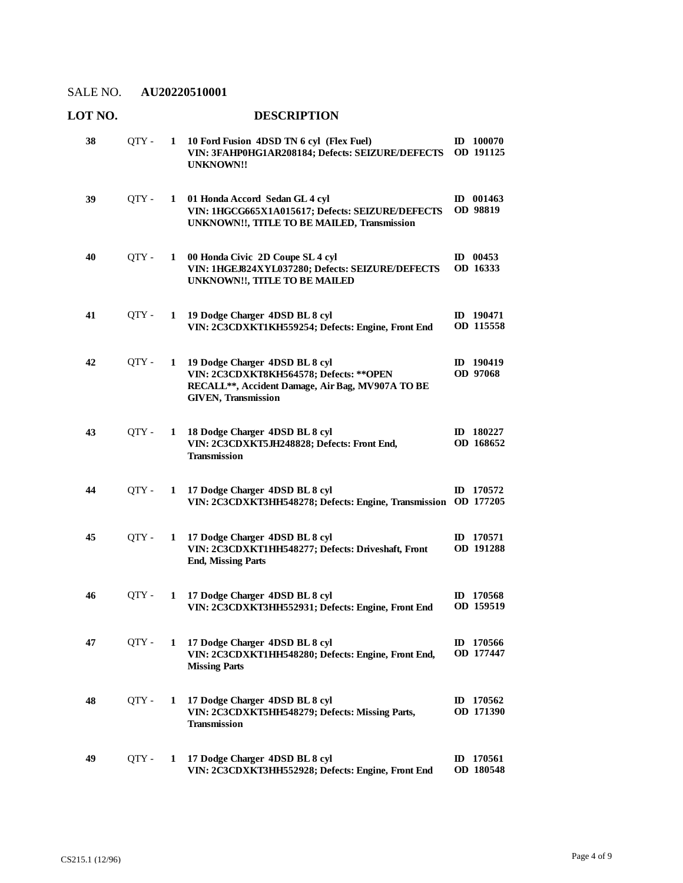| LOT NO. |       |              | <b>DESCRIPTION</b>                                                                                                                                           |                               |
|---------|-------|--------------|--------------------------------------------------------------------------------------------------------------------------------------------------------------|-------------------------------|
| 38      | QTY - | $\mathbf{1}$ | 10 Ford Fusion 4DSD TN 6 cyl (Flex Fuel)<br>VIN: 3FAHP0HG1AR208184; Defects: SEIZURE/DEFECTS<br><b>UNKNOWN!!</b>                                             | ID 100070<br>OD 191125        |
| 39      | QTY-  | 1            | 01 Honda Accord Sedan GL 4 cyl<br>VIN: 1HGCG665X1A015617; Defects: SEIZURE/DEFECTS<br>UNKNOWN!!, TITLE TO BE MAILED, Transmission                            | ID 001463<br>OD 98819         |
| 40      | QTY - | 1            | 00 Honda Civic 2D Coupe SL 4 cyl<br>VIN: 1HGEJ824XYL037280; Defects: SEIZURE/DEFECTS<br>UNKNOWN!!, TITLE TO BE MAILED                                        | ID $00453$<br>OD 16333        |
| 41      | QTY - | 1            | 19 Dodge Charger 4DSD BL 8 cyl<br>VIN: 2C3CDXKT1KH559254; Defects: Engine, Front End                                                                         | ID 190471<br>OD 115558        |
| 42      | QTY - | $\mathbf{1}$ | 19 Dodge Charger 4DSD BL 8 cyl<br>VIN: 2C3CDXKT8KH564578; Defects: ** OPEN<br>RECALL**, Accident Damage, Air Bag, MV907A TO BE<br><b>GIVEN, Transmission</b> | ID 190419<br>OD 97068         |
| 43      | QTY - | 1            | 18 Dodge Charger 4DSD BL 8 cyl<br>VIN: 2C3CDXKT5JH248828; Defects: Front End,<br><b>Transmission</b>                                                         | ID 180227<br>OD 168652        |
| 44      | OTY - | 1            | 17 Dodge Charger 4DSD BL 8 cyl<br>VIN: 2C3CDXKT3HH548278; Defects: Engine, Transmission                                                                      | ID 170572<br>OD 177205        |
| 45      | QTY - | 1            | 17 Dodge Charger 4DSD BL 8 cyl<br>VIN: 2C3CDXKT1HH548277; Defects: Driveshaft, Front<br><b>End, Missing Parts</b>                                            | ID 170571<br><b>OD</b> 191288 |
| 46      | QTY - | 1            | 17 Dodge Charger 4DSD BL 8 cyl<br>VIN: 2C3CDXKT3HH552931; Defects: Engine, Front End                                                                         | ID 170568<br>OD 159519        |
| 47      | QTY-  | 1            | 17 Dodge Charger 4DSD BL 8 cyl<br>VIN: 2C3CDXKT1HH548280; Defects: Engine, Front End,<br><b>Missing Parts</b>                                                | ID 170566<br>OD 177447        |
| 48      | QTY-  | 1            | 17 Dodge Charger 4DSD BL 8 cyl<br>VIN: 2C3CDXKT5HH548279; Defects: Missing Parts,<br>Transmission                                                            | ID $170562$<br>OD 171390      |
| 49      | QTY - | 1            | 17 Dodge Charger 4DSD BL 8 cyl<br>VIN: 2C3CDXKT3HH552928; Defects: Engine, Front End                                                                         | ID 170561<br>OD 180548        |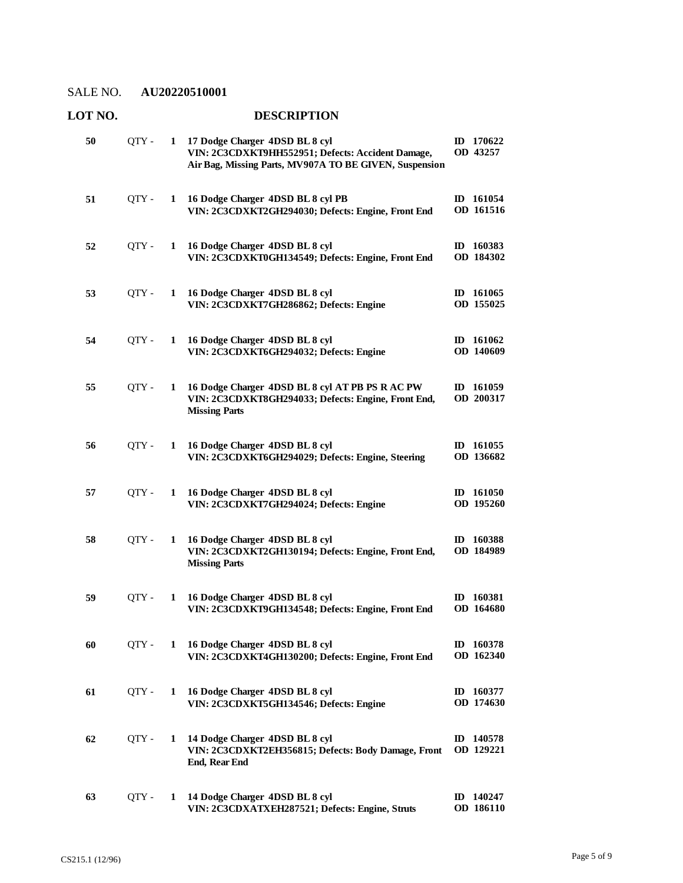## **LOT NO. DESCRIPTION**

| 50 | OTY - | 1 | 17 Dodge Charger 4DSD BL 8 cyl<br>VIN: 2C3CDXKT9HH552951; Defects: Accident Damage,<br>Air Bag, Missing Parts, MV907A TO BE GIVEN, Suspension | ID 170622<br>OD 43257               |
|----|-------|---|-----------------------------------------------------------------------------------------------------------------------------------------------|-------------------------------------|
| 51 | QTY - | 1 | 16 Dodge Charger 4DSD BL 8 cyl PB<br>VIN: 2C3CDXKT2GH294030; Defects: Engine, Front End                                                       | ID 161054<br>OD 161516              |
| 52 | OTY - | 1 | 16 Dodge Charger 4DSD BL 8 cyl<br>VIN: 2C3CDXKT0GH134549; Defects: Engine, Front End                                                          | ID 160383<br>OD 184302              |
| 53 | QTY - | 1 | 16 Dodge Charger 4DSD BL 8 cyl<br>VIN: 2C3CDXKT7GH286862; Defects: Engine                                                                     | ID 161065<br>OD 155025              |
| 54 | OTY - | 1 | 16 Dodge Charger 4DSD BL 8 cyl<br>VIN: 2C3CDXKT6GH294032; Defects: Engine                                                                     | ID 161062<br>OD 140609              |
| 55 | OTY - | 1 | 16 Dodge Charger 4DSD BL 8 cyl AT PB PS R AC PW<br>VIN: 2C3CDXKT8GH294033; Defects: Engine, Front End,<br><b>Missing Parts</b>                | ID 161059<br>OD 200317              |
| 56 | QTY-  | 1 | 16 Dodge Charger 4DSD BL 8 cyl<br>VIN: 2C3CDXKT6GH294029; Defects: Engine, Steering                                                           | ID 161055<br>OD 136682              |
| 57 | QTY - | 1 | 16 Dodge Charger 4DSD BL 8 cyl<br>VIN: 2C3CDXKT7GH294024; Defects: Engine                                                                     | ID 161050<br>OD 195260              |
| 58 | QTY - | 1 | 16 Dodge Charger 4DSD BL 8 cyl<br>VIN: 2C3CDXKT2GH130194; Defects: Engine, Front End,<br><b>Missing Parts</b>                                 | ID 160388<br>OD 184989              |
| 59 | QTY - | 1 | 16 Dodge Charger 4DSD BL 8 cyl<br>VIN: 2C3CDXKT9GH134548; Defects: Engine, Front End                                                          | ID 160381<br>OD 164680              |
| 60 | QTY - | 1 | 16 Dodge Charger 4DSD BL 8 cyl<br>VIN: 2C3CDXKT4GH130200; Defects: Engine, Front End                                                          | ID 160378<br>OD 162340              |
| 61 | QTY - | 1 | 16 Dodge Charger 4DSD BL 8 cyl<br>VIN: 2C3CDXKT5GH134546; Defects: Engine                                                                     | ID 160377<br>OD 174630              |
| 62 | QTY - | 1 | 14 Dodge Charger 4DSD BL 8 cyl<br>VIN: 2C3CDXKT2EH356815; Defects: Body Damage, Front<br><b>End, Rear End</b>                                 | ID 140578<br>OD 129221              |
| 63 | QTY - | 1 | 14 Dodge Charger 4DSD BL 8 cyl<br>VIN: 2C3CDXATXEH287521; Defects: Engine, Struts                                                             | 140247<br>$\mathbf{D}$<br>OD 186110 |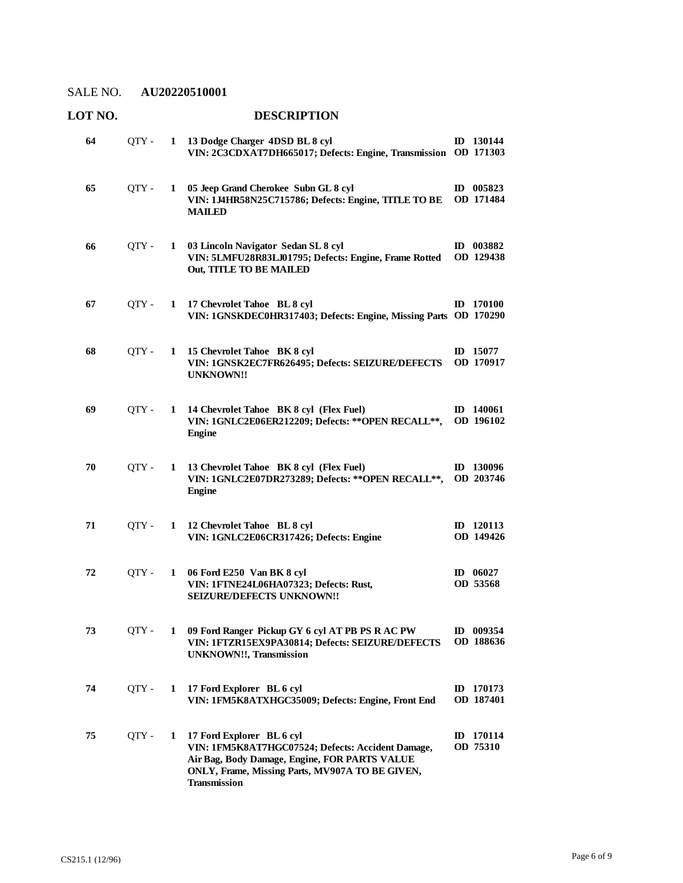| LOT NO. |         |              | <b>DESCRIPTION</b>                                                                                                                                                                                        |  |                               |  |  |
|---------|---------|--------------|-----------------------------------------------------------------------------------------------------------------------------------------------------------------------------------------------------------|--|-------------------------------|--|--|
| 64      | $QTY -$ |              | 1 13 Dodge Charger 4DSD BL 8 cyl<br>VIN: 2C3CDXAT7DH665017; Defects: Engine, Transmission OD 171303                                                                                                       |  | ID 130144                     |  |  |
| 65      | QTY -   | $\mathbf{1}$ | 05 Jeep Grand Cherokee Subn GL 8 cyl<br>VIN: 1J4HR58N25C715786; Defects: Engine, TITLE TO BE<br><b>MAILED</b>                                                                                             |  | ID 005823<br>OD 171484        |  |  |
| 66      | QTY -   |              | 1 03 Lincoln Navigator Sedan SL 8 cyl<br>VIN: 5LMFU28R83LJ01795; Defects: Engine, Frame Rotted<br>Out, TITLE TO BE MAILED                                                                                 |  | ID 003882<br>OD 129438        |  |  |
| 67      | OTY -   | $\mathbf{1}$ | 17 Chevrolet Tahoe BL 8 cyl<br>VIN: 1GNSKDEC0HR317403; Defects: Engine, Missing Parts OD 170290                                                                                                           |  | ID 170100                     |  |  |
| 68      | QTY -   | $\mathbf{1}$ | 15 Chevrolet Tahoe BK 8 cyl<br>VIN: 1GNSK2EC7FR626495; Defects: SEIZURE/DEFECTS<br><b>UNKNOWN!!</b>                                                                                                       |  | ID 15077<br>OD 170917         |  |  |
| 69      | OTY -   | $\mathbf{1}$ | 14 Chevrolet Tahoe BK 8 cyl (Flex Fuel)<br>VIN: 1GNLC2E06ER212209; Defects: ** OPEN RECALL**,<br><b>Engine</b>                                                                                            |  | ID 140061<br>OD 196102        |  |  |
| 70      | QTY -   |              | 1 13 Chevrolet Tahoe BK 8 cyl (Flex Fuel)<br>VIN: 1GNLC2E07DR273289; Defects: ** OPEN RECALL **,<br><b>Engine</b>                                                                                         |  | ID 130096<br>OD 203746        |  |  |
| 71      | QTY -   | $\mathbf{1}$ | 12 Chevrolet Tahoe BL 8 cyl<br>VIN: 1GNLC2E06CR317426; Defects: Engine                                                                                                                                    |  | ID 120113<br>OD 149426        |  |  |
| 72      | QTY -   | $\mathbf{1}$ | 06 Ford E250 Van BK 8 cyl<br>VIN: 1FTNE24L06HA07323; Defects: Rust,<br>SEIZURE/DEFECTS UNKNOWN!!                                                                                                          |  | ID $06027$<br>OD 53568        |  |  |
| 73      | QTY -   | 1            | 09 Ford Ranger Pickup GY 6 cyl AT PB PS R AC PW<br>VIN: 1FTZR15EX9PA30814; Defects: SEIZURE/DEFECTS<br><b>UNKNOWN!!, Transmission</b>                                                                     |  | ID 009354<br>OD 188636        |  |  |
| 74      | QTY -   | 1            | 17 Ford Explorer BL 6 cyl<br>VIN: 1FM5K8ATXHGC35009; Defects: Engine, Front End                                                                                                                           |  | ID 170173<br><b>OD</b> 187401 |  |  |
| 75      | QTY -   | 1            | 17 Ford Explorer BL 6 cyl<br>VIN: 1FM5K8AT7HGC07524; Defects: Accident Damage,<br>Air Bag, Body Damage, Engine, FOR PARTS VALUE<br>ONLY, Frame, Missing Parts, MV907A TO BE GIVEN,<br><b>Transmission</b> |  | ID 170114<br>OD 75310         |  |  |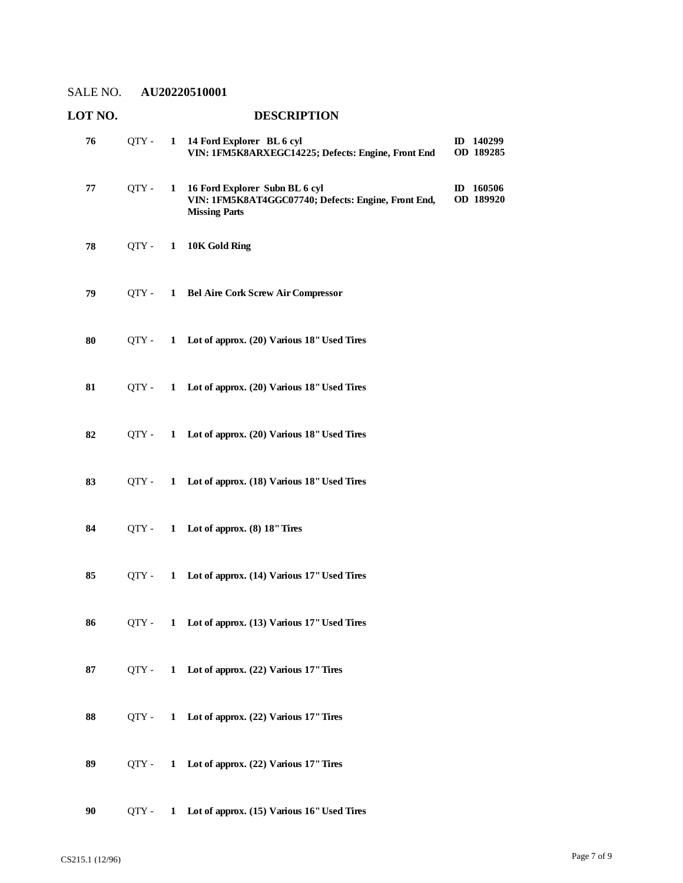| LOT NO. |         |              | <b>DESCRIPTION</b>                                                                                            |                        |
|---------|---------|--------------|---------------------------------------------------------------------------------------------------------------|------------------------|
| 76      | $QTY -$ | $\mathbf{1}$ | 14 Ford Explorer BL 6 cyl<br>VIN: 1FM5K8ARXEGC14225; Defects: Engine, Front End                               | ID 140299<br>OD 189285 |
| 77      | QTY -   | 1            | 16 Ford Explorer Subn BL 6 cyl<br>VIN: 1FM5K8AT4GGC07740; Defects: Engine, Front End,<br><b>Missing Parts</b> | ID 160506<br>OD 189920 |
| 78      | $QTY -$ | $\mathbf{1}$ | 10K Gold Ring                                                                                                 |                        |
| 79      | QTY -   | $\mathbf{1}$ | <b>Bel Aire Cork Screw Air Compressor</b>                                                                     |                        |
| 80      | OTY -   |              | 1 Lot of approx. (20) Various 18" Used Tires                                                                  |                        |
| 81      | OTY -   |              | 1 Lot of approx. (20) Various 18" Used Tires                                                                  |                        |
| 82      | QTY -   |              | 1 Lot of approx. (20) Various 18" Used Tires                                                                  |                        |
| 83      | $QTY -$ | $\mathbf{1}$ | Lot of approx. (18) Various 18" Used Tires                                                                    |                        |
| 84      | OTY -   | $\mathbf{1}$ | Lot of approx. $(8)$ 18" Tires                                                                                |                        |
| 85      | QTY -   | 1            | Lot of approx. (14) Various 17" Used Tires                                                                    |                        |
| 86      | OTY -   |              | 1 Lot of approx. (13) Various 17" Used Tires                                                                  |                        |
| 87      | QTY -   | 1            | Lot of approx. (22) Various 17" Tires                                                                         |                        |
| 88      | QTY -   | 1            | Lot of approx. (22) Various 17" Tires                                                                         |                        |
| 89      | OTY -   | $\mathbf{1}$ | Lot of approx. (22) Various 17" Tires                                                                         |                        |
| 90      | QTY -   | $\mathbf{1}$ | Lot of approx. (15) Various 16" Used Tires                                                                    |                        |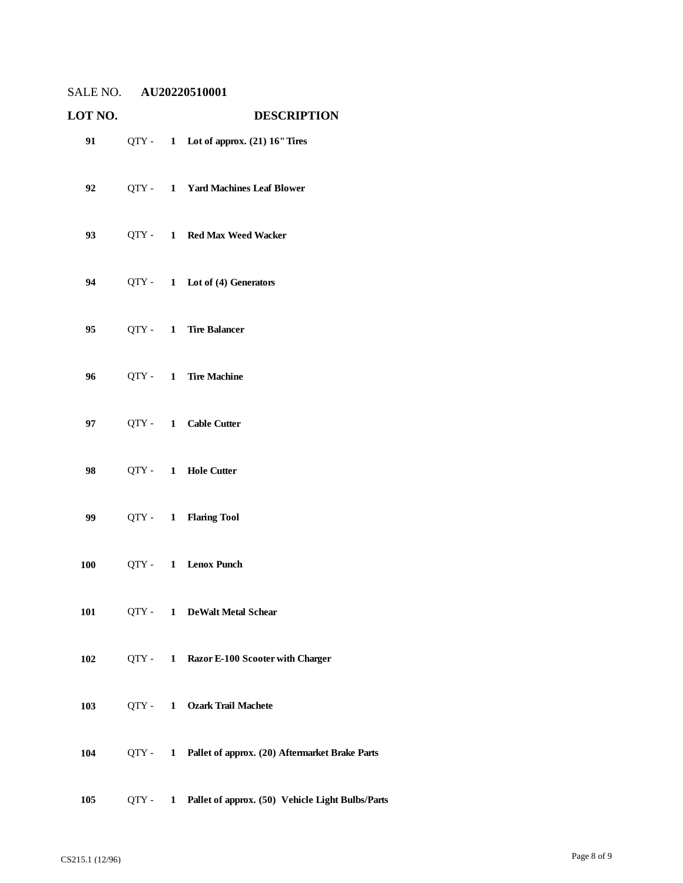| LOT NO.                                                                                                                                                                                                                         |  | <b>DESCRIPTION</b>                                       |
|---------------------------------------------------------------------------------------------------------------------------------------------------------------------------------------------------------------------------------|--|----------------------------------------------------------|
| 91 — 100 — 100 — 100 — 100 — 100 — 100 — 100 — 100 — 100 — 100 — 100 — 100 — 100 — 100 — 100 — 100 — 100 — 100 — 100 — 100 — 100 — 100 — 100 — 100 — 100 — 100 — 100 — 100 — 100 — 100 — 100 — 100 — 100 — 100 — 100 — 100 — 10 |  | QTY - 1 Lot of approx. (21) 16" Tires                    |
| 92                                                                                                                                                                                                                              |  | QTY - 1 Yard Machines Leaf Blower                        |
| 93                                                                                                                                                                                                                              |  | QTY - 1 Red Max Weed Wacker                              |
| 94                                                                                                                                                                                                                              |  | QTY - 1 Lot of (4) Generators                            |
| 95                                                                                                                                                                                                                              |  | QTY - 1 Tire Balancer                                    |
| 96                                                                                                                                                                                                                              |  | QTY - 1 Tire Machine                                     |
| 97                                                                                                                                                                                                                              |  | QTY- 1 Cable Cutter                                      |
| 98                                                                                                                                                                                                                              |  | QTY - 1 Hole Cutter                                      |
| 99                                                                                                                                                                                                                              |  | QTY- 1 Flaring Tool                                      |
| 100                                                                                                                                                                                                                             |  | QTY- 1 Lenox Punch                                       |
|                                                                                                                                                                                                                                 |  | 101 QTY - 1 DeWalt Metal Schear                          |
| 102                                                                                                                                                                                                                             |  | QTY - 1 Razor E-100 Scooter with Charger                 |
| 103                                                                                                                                                                                                                             |  | QTY - 1 Ozark Trail Machete                              |
| 104                                                                                                                                                                                                                             |  | QTY - 1 Pallet of approx. (20) Aftermarket Brake Parts   |
| 105                                                                                                                                                                                                                             |  | QTY - 1 Pallet of approx. (50) Vehicle Light Bulbs/Parts |